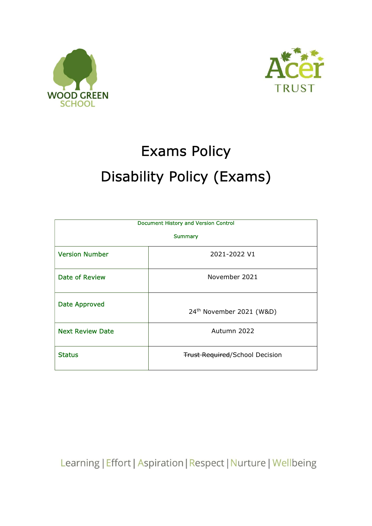



## Exams Policy Disability Policy (Exams)

| <b>Document History and Version Control</b> |                                       |  |
|---------------------------------------------|---------------------------------------|--|
| <b>Summary</b>                              |                                       |  |
| <b>Version Number</b>                       | 2021-2022 V1                          |  |
| <b>Date of Review</b>                       | November 2021                         |  |
| <b>Date Approved</b>                        | 24 <sup>th</sup> November 2021 (W&D)  |  |
| <b>Next Review Date</b>                     | Autumn 2022                           |  |
| <b>Status</b>                               | <b>Trust Required/School Decision</b> |  |

Learning | Effort | Aspiration | Respect | Nurture | Wellbeing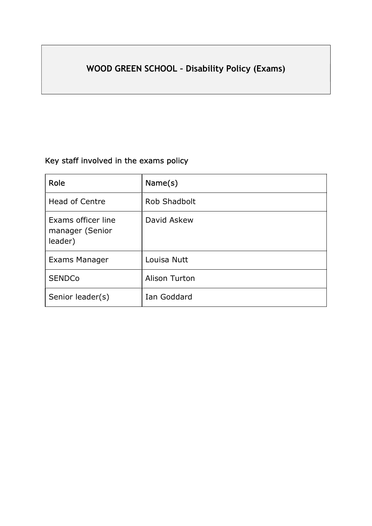## WOOD GREEN SCHOOL – Disability Policy (Exams)

## Key staff involved in the exams policy

| Role                                             | Name(s)              |
|--------------------------------------------------|----------------------|
| <b>Head of Centre</b>                            | Rob Shadbolt         |
| Exams officer line<br>manager (Senior<br>leader) | David Askew          |
| Exams Manager                                    | Louisa Nutt          |
| <b>SENDCo</b>                                    | <b>Alison Turton</b> |
| Senior leader(s)                                 | Ian Goddard          |